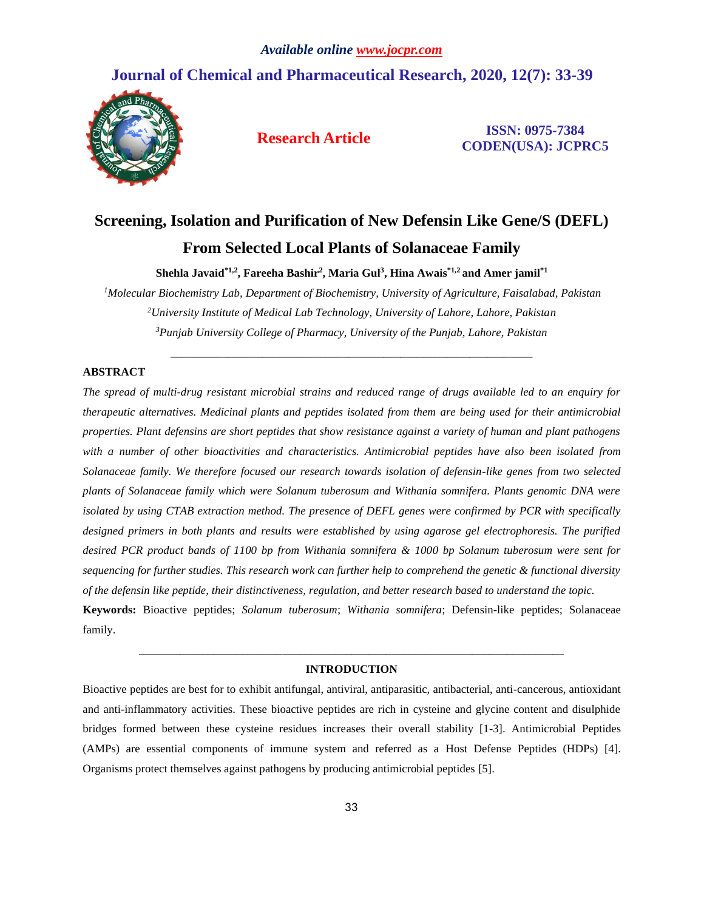## **Journal of Chemical and Pharmaceutical Research, 2020, 12(7): 33-39**



**Research Article ISSN: 0975-7384 CODEN(USA): JCPRC5**

# **Screening, Isolation and Purification of New Defensin Like Gene/S (DEFL) From Selected Local Plants of Solanaceae Family**

**Shehla Javaid\*1,2, Fareeha Bashir<sup>2</sup> , Maria Gul<sup>3</sup> , Hina Awais\*1,2 and Amer jamil\*1**

*<sup>1</sup>Molecular Biochemistry Lab, Department of Biochemistry, University of Agriculture, Faisalabad, Pakistan <sup>2</sup>University Institute of Medical Lab Technology, University of Lahore, Lahore, Pakistan <sup>3</sup>Punjab University College of Pharmacy, University of the Punjab, Lahore, Pakistan*

\_\_\_\_\_\_\_\_\_\_\_\_\_\_\_\_\_\_\_\_\_\_\_\_\_\_\_\_\_\_\_\_\_\_\_\_\_\_\_\_\_\_\_\_\_\_\_\_\_\_\_\_\_\_\_\_\_\_\_\_\_\_\_

#### **ABSTRACT**

*The spread of multi-drug resistant microbial strains and reduced range of drugs available led to an enquiry for therapeutic alternatives. Medicinal plants and peptides isolated from them are being used for their antimicrobial properties. Plant defensins are short peptides that show resistance against a variety of human and plant pathogens with a number of other bioactivities and characteristics. Antimicrobial peptides have also been isolated from Solanaceae family. We therefore focused our research towards isolation of defensin-like genes from two selected plants of Solanaceae family which were Solanum tuberosum and Withania somnifera. Plants genomic DNA were isolated by using CTAB extraction method. The presence of DEFL genes were confirmed by PCR with specifically designed primers in both plants and results were established by using agarose gel electrophoresis. The purified desired PCR product bands of 1100 bp from Withania somnifera & 1000 bp Solanum tuberosum were sent for sequencing for further studies. This research work can further help to comprehend the genetic & functional diversity of the defensin like peptide, their distinctiveness, regulation, and better research based to understand the topic.* **Keywords:** Bioactive peptides; *Solanum tuberosum*; *Withania somnifera*; Defensin-like peptides; Solanaceae family.

### *\_\_\_\_\_\_\_\_\_\_\_\_\_\_\_\_\_\_\_\_\_\_\_\_\_\_\_\_\_\_\_\_\_\_\_\_\_\_\_\_\_\_\_\_\_\_\_\_\_\_\_\_\_\_\_\_\_\_\_\_\_\_\_\_\_\_\_\_\_\_\_\_\_\_* **INTRODUCTION**

Bioactive peptides are best for to exhibit antifungal, antiviral, antiparasitic, antibacterial, anti-cancerous, antioxidant and anti-inflammatory activities. These bioactive peptides are rich in cysteine and glycine content and disulphide bridges formed between these cysteine residues increases their overall stability [1-3]. Antimicrobial Peptides (AMPs) are essential components of immune system and referred as a Host Defense Peptides (HDPs) [4]. Organisms protect themselves against pathogens by producing antimicrobial peptides [5].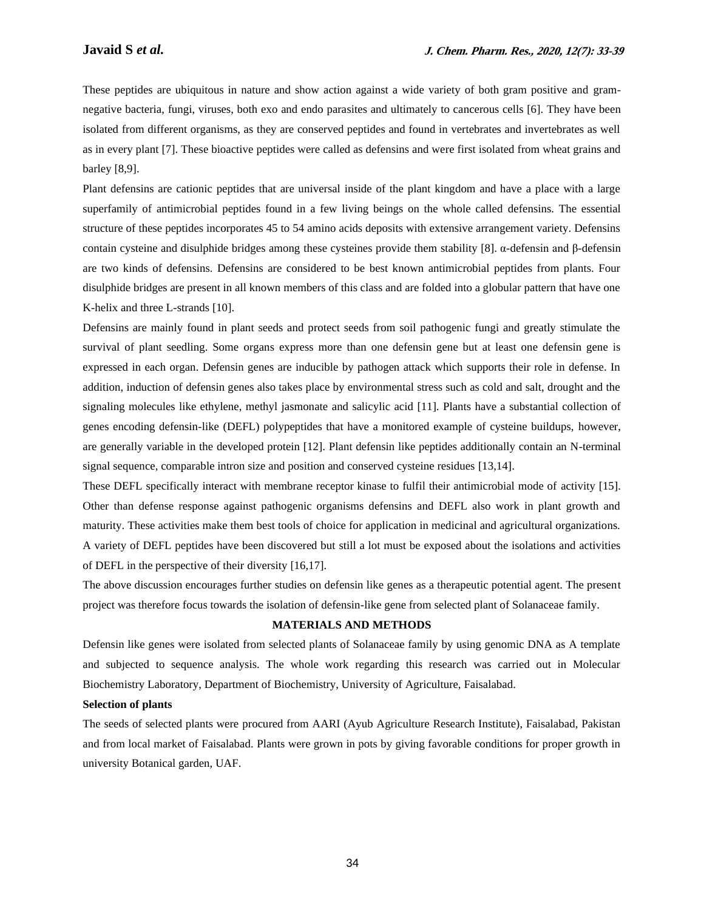These peptides are ubiquitous in nature and show action against a wide variety of both gram positive and gramnegative bacteria, fungi, viruses, both exo and endo parasites and ultimately to cancerous cells [6]. They have been isolated from different organisms, as they are conserved peptides and found in vertebrates and invertebrates as well as in every plant [7]. These bioactive peptides were called as defensins and were first isolated from wheat grains and barley [8,9].

Plant defensins are cationic peptides that are universal inside of the plant kingdom and have a place with a large superfamily of antimicrobial peptides found in a few living beings on the whole called defensins. The essential structure of these peptides incorporates 45 to 54 amino acids deposits with extensive arrangement variety. Defensins contain cysteine and disulphide bridges among these cysteines provide them stability [8]. α-defensin and β-defensin are two kinds of defensins. Defensins are considered to be best known antimicrobial peptides from plants. Four disulphide bridges are present in all known members of this class and are folded into a globular pattern that have one K-helix and three L-strands [10].

Defensins are mainly found in plant seeds and protect seeds from soil pathogenic fungi and greatly stimulate the survival of plant seedling. Some organs express more than one defensin gene but at least one defensin gene is expressed in each organ. Defensin genes are inducible by pathogen attack which supports their role in defense. In addition, induction of defensin genes also takes place by environmental stress such as cold and salt, drought and the signaling molecules like ethylene, methyl jasmonate and salicylic acid [11]. Plants have a substantial collection of genes encoding defensin-like (DEFL) polypeptides that have a monitored example of cysteine buildups, however, are generally variable in the developed protein [12]. Plant defensin like peptides additionally contain an N-terminal signal sequence, comparable intron size and position and conserved cysteine residues [13,14].

These DEFL specifically interact with membrane receptor kinase to fulfil their antimicrobial mode of activity [15]. Other than defense response against pathogenic organisms defensins and DEFL also work in plant growth and maturity. These activities make them best tools of choice for application in medicinal and agricultural organizations. A variety of DEFL peptides have been discovered but still a lot must be exposed about the isolations and activities of DEFL in the perspective of their diversity [16,17].

The above discussion encourages further studies on defensin like genes as a therapeutic potential agent. The present project was therefore focus towards the isolation of defensin-like gene from selected plant of Solanaceae family.

#### **MATERIALS AND METHODS**

Defensin like genes were isolated from selected plants of Solanaceae family by using genomic DNA as A template and subjected to sequence analysis. The whole work regarding this research was carried out in Molecular Biochemistry Laboratory, Department of Biochemistry, University of Agriculture, Faisalabad.

#### **Selection of plants**

The seeds of selected plants were procured from AARI (Ayub Agriculture Research Institute), Faisalabad, Pakistan and from local market of Faisalabad. Plants were grown in pots by giving favorable conditions for proper growth in university Botanical garden, UAF.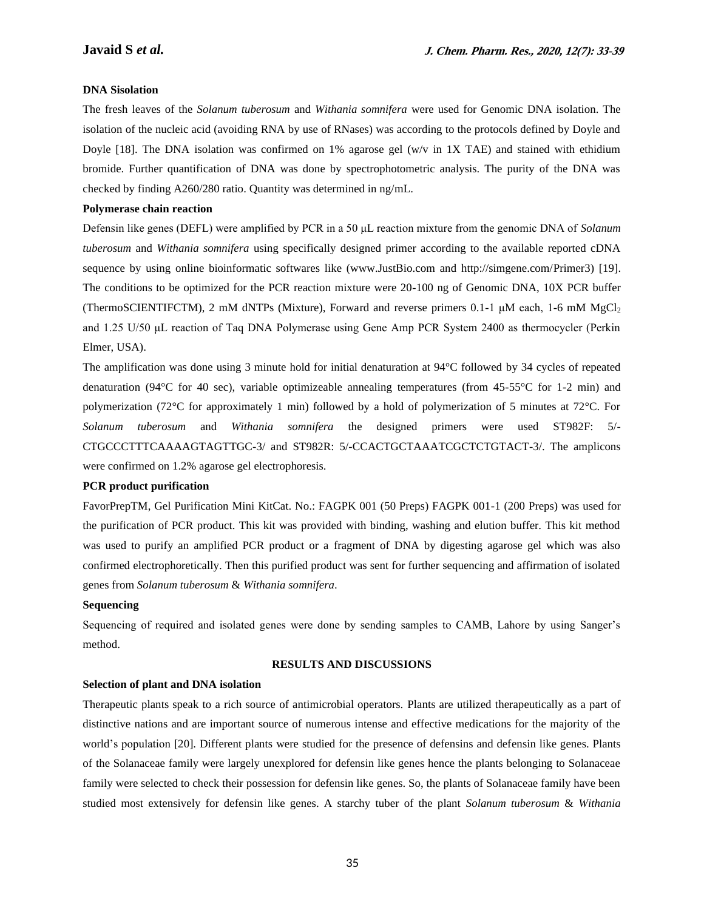#### **DNA Sisolation**

The fresh leaves of the *Solanum tuberosum* and *Withania somnifera* were used for Genomic DNA isolation. The isolation of the nucleic acid (avoiding RNA by use of RNases) was according to the protocols defined by Doyle and Doyle [18]. The DNA isolation was confirmed on 1% agarose gel (w/v in 1X TAE) and stained with ethidium bromide. Further quantification of DNA was done by spectrophotometric analysis. The purity of the DNA was checked by finding A260/280 ratio. Quantity was determined in ng/mL.

#### **Polymerase chain reaction**

Defensin like genes (DEFL) were amplified by PCR in a 50 μL reaction mixture from the genomic DNA of *Solanum tuberosum* and *Withania somnifera* using specifically designed primer according to the available reported cDNA sequence by using online bioinformatic softwares like (www.JustBio.com and http://simgene.com/Primer3) [19]. The conditions to be optimized for the PCR reaction mixture were 20-100 ng of Genomic DNA, 10X PCR buffer (ThermoSCIENTIFCTM), 2 mM dNTPs (Mixture), Forward and reverse primers 0.1-1 μM each, 1-6 mM MgCl<sup>2</sup> and 1.25 U/50 μL reaction of Taq DNA Polymerase using Gene Amp PCR System 2400 as thermocycler (Perkin Elmer, USA).

The amplification was done using 3 minute hold for initial denaturation at 94°C followed by 34 cycles of repeated denaturation (94°C for 40 sec), variable optimizeable annealing temperatures (from 45-55°C for 1-2 min) and polymerization (72°C for approximately 1 min) followed by a hold of polymerization of 5 minutes at 72°C. For *Solanum tuberosum* and *Withania somnifera* the designed primers were used ST982F: 5/- CTGCCCTTTCAAAAGTAGTTGC-3/ and ST982R: 5/-CCACTGCTAAATCGCTCTGTACT-3/. The amplicons were confirmed on 1.2% agarose gel electrophoresis.

#### **PCR product purification**

FavorPrepTM, Gel Purification Mini KitCat. No.: FAGPK 001 (50 Preps) FAGPK 001-1 (200 Preps) was used for the purification of PCR product. This kit was provided with binding, washing and elution buffer. This kit method was used to purify an amplified PCR product or a fragment of DNA by digesting agarose gel which was also confirmed electrophoretically. Then this purified product was sent for further sequencing and affirmation of isolated genes from *Solanum tuberosum* & *Withania somnifera*.

#### **Sequencing**

Sequencing of required and isolated genes were done by sending samples to CAMB, Lahore by using Sanger's method.

#### **RESULTS AND DISCUSSIONS**

#### **Selection of plant and DNA isolation**

Therapeutic plants speak to a rich source of antimicrobial operators. Plants are utilized therapeutically as a part of distinctive nations and are important source of numerous intense and effective medications for the majority of the world's population [20]. Different plants were studied for the presence of defensins and defensin like genes. Plants of the Solanaceae family were largely unexplored for defensin like genes hence the plants belonging to Solanaceae family were selected to check their possession for defensin like genes. So, the plants of Solanaceae family have been studied most extensively for defensin like genes. A starchy tuber of the plant *Solanum tuberosum* & *Withania*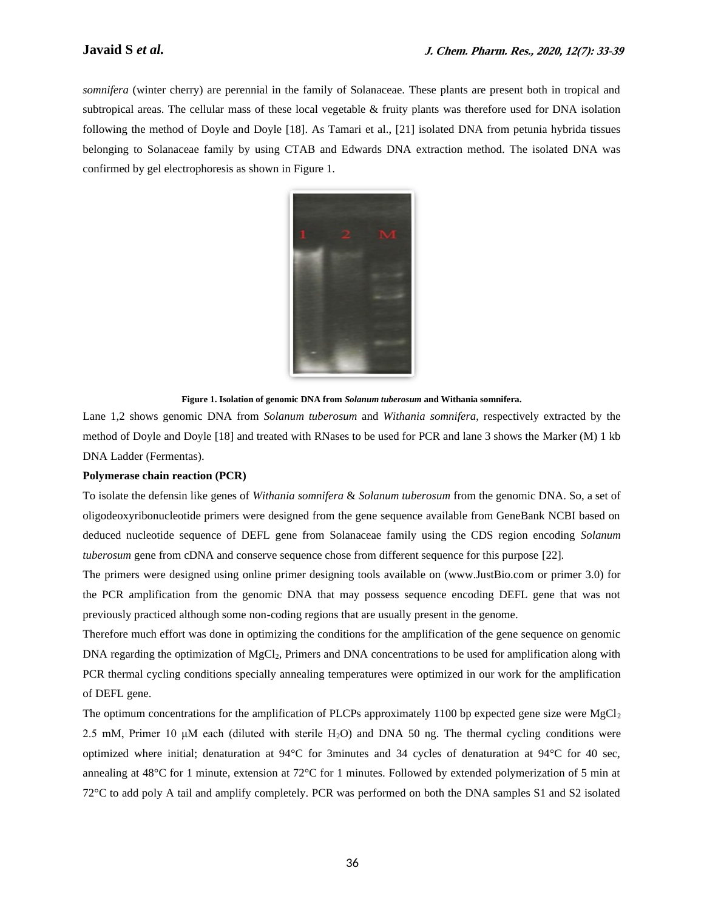*somnifera* (winter cherry) are perennial in the family of Solanaceae. These plants are present both in tropical and subtropical areas. The cellular mass of these local vegetable & fruity plants was therefore used for DNA isolation following the method of Doyle and Doyle [18]. As Tamari et al., [21] isolated DNA from petunia hybrida tissues belonging to Solanaceae family by using CTAB and Edwards DNA extraction method. The isolated DNA was confirmed by gel electrophoresis as shown in Figure 1.



**Figure 1. Isolation of genomic DNA from** *Solanum tuberosum* **and Withania somnifera.**

Lane 1,2 shows genomic DNA from *Solanum tuberosum* and *Withania somnifera*, respectively extracted by the method of Doyle and Doyle [18] and treated with RNases to be used for PCR and lane 3 shows the Marker (M) 1 kb DNA Ladder (Fermentas).

#### **Polymerase chain reaction (PCR)**

To isolate the defensin like genes of *Withania somnifera* & *Solanum tuberosum* from the genomic DNA. So, a set of oligodeoxyribonucleotide primers were designed from the gene sequence available from GeneBank NCBI based on deduced nucleotide sequence of DEFL gene from Solanaceae family using the CDS region encoding *Solanum tuberosum* gene from cDNA and conserve sequence chose from different sequence for this purpose [22].

The primers were designed using online primer designing tools available on (www.JustBio.com or primer 3.0) for the PCR amplification from the genomic DNA that may possess sequence encoding DEFL gene that was not previously practiced although some non-coding regions that are usually present in the genome.

Therefore much effort was done in optimizing the conditions for the amplification of the gene sequence on genomic DNA regarding the optimization of MgCl<sub>2</sub>, Primers and DNA concentrations to be used for amplification along with PCR thermal cycling conditions specially annealing temperatures were optimized in our work for the amplification of DEFL gene.

The optimum concentrations for the amplification of PLCPs approximately 1100 bp expected gene size were  $MgCl<sub>2</sub>$ 2.5 mM, Primer 10  $\mu$ M each (diluted with sterile H<sub>2</sub>O) and DNA 50 ng. The thermal cycling conditions were optimized where initial; denaturation at 94°C for 3minutes and 34 cycles of denaturation at 94°C for 40 sec, annealing at 48°C for 1 minute, extension at 72°C for 1 minutes. Followed by extended polymerization of 5 min at 72°C to add poly A tail and amplify completely. PCR was performed on both the DNA samples S1 and S2 isolated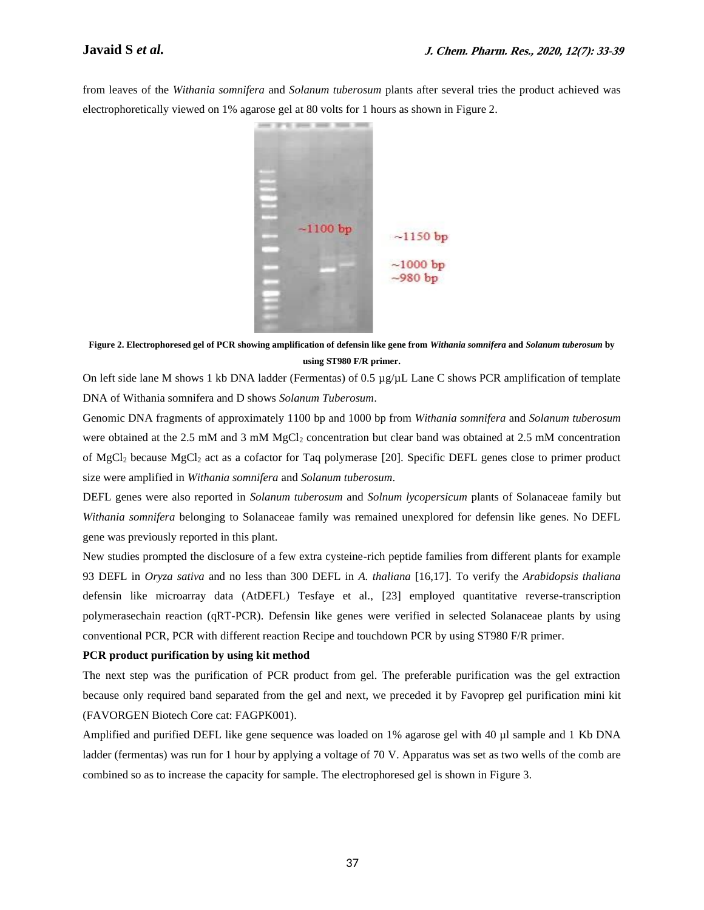from leaves of the *Withania somnifera* and *Solanum tuberosum* plants after several tries the product achieved was electrophoretically viewed on 1% agarose gel at 80 volts for 1 hours as shown in Figure 2.



**Figure 2. Electrophoresed gel of PCR showing amplification of defensin like gene from** *Withania somnifera* **and** *Solanum tuberosum* **by using ST980 F/R primer.**

On left side lane M shows 1 kb DNA ladder (Fermentas) of 0.5 µg/µL Lane C shows PCR amplification of template DNA of Withania somnifera and D shows *Solanum Tuberosum*.

Genomic DNA fragments of approximately 1100 bp and 1000 bp from *Withania somnifera* and *Solanum tuberosum* were obtained at the 2.5 mM and 3 mM MgCl<sub>2</sub> concentration but clear band was obtained at 2.5 mM concentration of MgCl<sup>2</sup> because MgCl<sup>2</sup> act as a cofactor for Taq polymerase [20]. Specific DEFL genes close to primer product size were amplified in *Withania somnifera* and *Solanum tuberosum*.

DEFL genes were also reported in *Solanum tuberosum* and *Solnum lycopersicum* plants of Solanaceae family but *Withania somnifera* belonging to Solanaceae family was remained unexplored for defensin like genes. No DEFL gene was previously reported in this plant.

New studies prompted the disclosure of a few extra cysteine-rich peptide families from different plants for example 93 DEFL in *Oryza sativa* and no less than 300 DEFL in *A. thaliana* [16,17]. To verify the *Arabidopsis thaliana* defensin like microarray data (AtDEFL) Tesfaye et al., [23] employed quantitative reverse-transcription polymerasechain reaction (qRT-PCR). Defensin like genes were verified in selected Solanaceae plants by using conventional PCR, PCR with different reaction Recipe and touchdown PCR by using ST980 F/R primer.

#### **PCR product purification by using kit method**

The next step was the purification of PCR product from gel. The preferable purification was the gel extraction because only required band separated from the gel and next, we preceded it by Favoprep gel purification mini kit (FAVORGEN Biotech Core cat: FAGPK001).

Amplified and purified DEFL like gene sequence was loaded on 1% agarose gel with 40 µl sample and 1 Kb DNA ladder (fermentas) was run for 1 hour by applying a voltage of 70 V. Apparatus was set as two wells of the comb are combined so as to increase the capacity for sample. The electrophoresed gel is shown in Figure 3.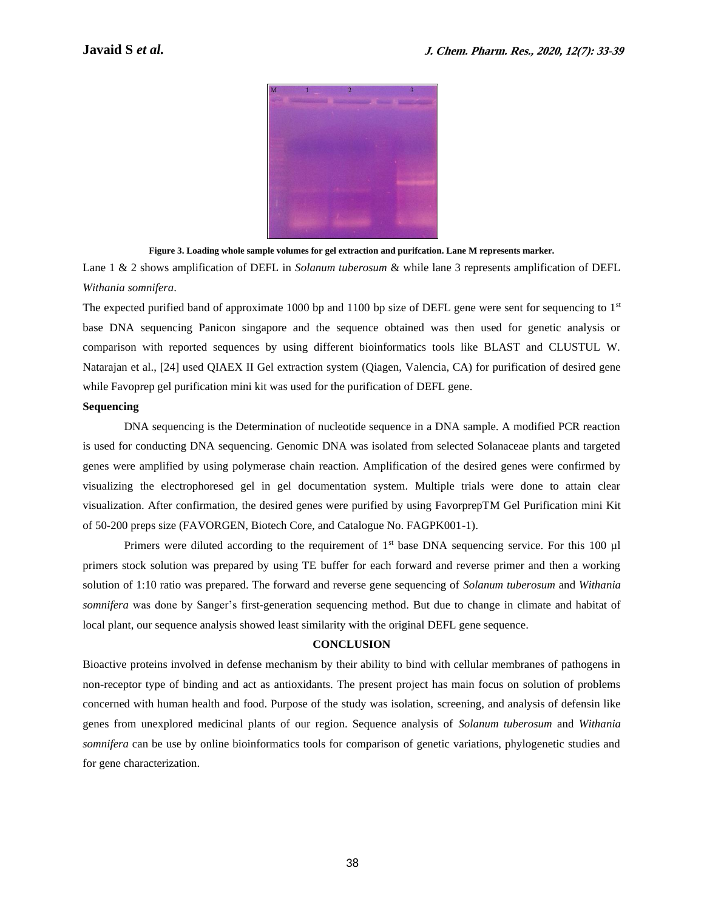

**Figure 3. Loading whole sample volumes for gel extraction and purifcation. Lane M represents marker.**

Lane 1 & 2 shows amplification of DEFL in *Solanum tuberosum* & while lane 3 represents amplification of DEFL *Withania somnifera*.

The expected purified band of approximate 1000 bp and 1100 bp size of DEFL gene were sent for sequencing to  $1<sup>st</sup>$ base DNA sequencing Panicon singapore and the sequence obtained was then used for genetic analysis or comparison with reported sequences by using different bioinformatics tools like BLAST and CLUSTUL W. Natarajan et al., [24] used QIAEX II Gel extraction system (Qiagen, Valencia, CA) for purification of desired gene while Favoprep gel purification mini kit was used for the purification of DEFL gene.

#### **Sequencing**

DNA sequencing is the Determination of nucleotide sequence in a DNA sample. A modified PCR reaction is used for conducting DNA sequencing. Genomic DNA was isolated from selected Solanaceae plants and targeted genes were amplified by using polymerase chain reaction. Amplification of the desired genes were confirmed by visualizing the electrophoresed gel in gel documentation system. Multiple trials were done to attain clear visualization. After confirmation, the desired genes were purified by using FavorprepTM Gel Purification mini Kit of 50-200 preps size (FAVORGEN, Biotech Core, and Catalogue No. FAGPK001-1).

Primers were diluted according to the requirement of  $1<sup>st</sup>$  base DNA sequencing service. For this 100 µl primers stock solution was prepared by using TE buffer for each forward and reverse primer and then a working solution of 1:10 ratio was prepared. The forward and reverse gene sequencing of *Solanum tuberosum* and *Withania somnifera* was done by Sanger's first-generation sequencing method. But due to change in climate and habitat of local plant, our sequence analysis showed least similarity with the original DEFL gene sequence.

#### **CONCLUSION**

Bioactive proteins involved in defense mechanism by their ability to bind with cellular membranes of pathogens in non-receptor type of binding and act as antioxidants. The present project has main focus on solution of problems concerned with human health and food. Purpose of the study was isolation, screening, and analysis of defensin like genes from unexplored medicinal plants of our region. Sequence analysis of *Solanum tuberosum* and *Withania somnifera* can be use by online bioinformatics tools for comparison of genetic variations, phylogenetic studies and for gene characterization.